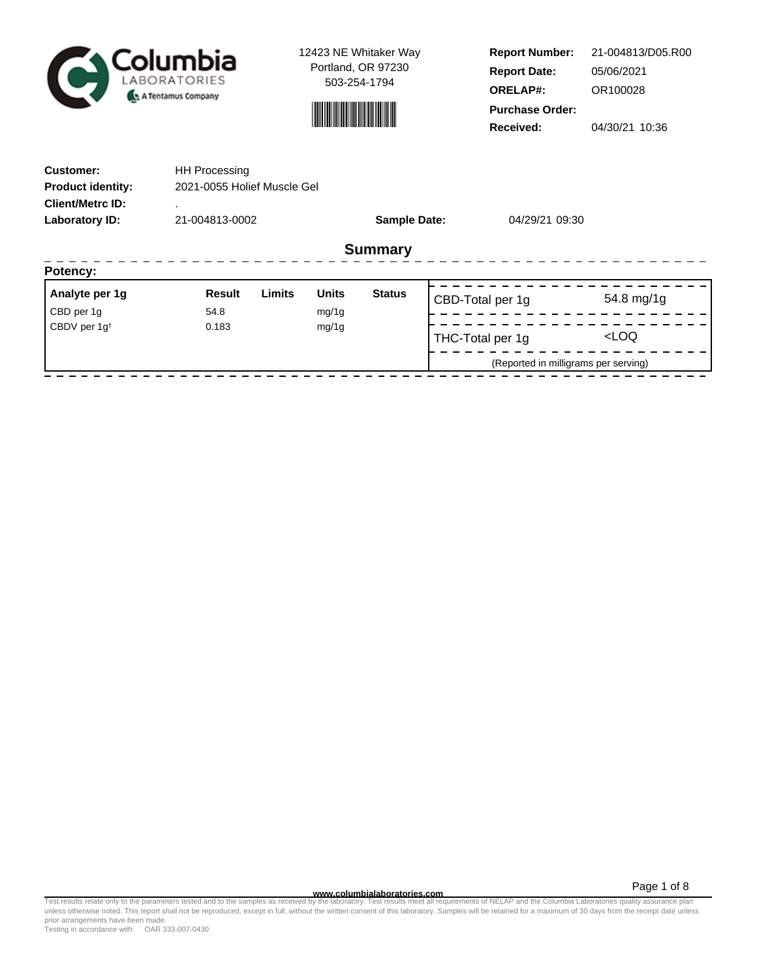

12423 NE Whitaker Way Portland, OR 97230 503-254-1794



**Report Number: Report Date: ORELAP#:** 05/06/2021 OR100028 **Received:** 04/30/21 10:36 **Purchase Order:** 21-004813/D05.R00

| <b>Customer:</b>         | <b>HH Processing</b>        |                                |  |                |           |  |  |
|--------------------------|-----------------------------|--------------------------------|--|----------------|-----------|--|--|
| <b>Product identity:</b> | 2021-0055 Holief Muscle Gel |                                |  |                |           |  |  |
| <b>Client/Metrc ID:</b>  |                             |                                |  |                |           |  |  |
| Laboratory ID:           | 21-004813-0002              | <b>Sample Date:</b>            |  | 04/29/21 09:30 |           |  |  |
|                          |                             | <b>Summary</b>                 |  |                |           |  |  |
| Potency:                 |                             |                                |  |                |           |  |  |
| Analyte ner 1a           | imite<br><b>Result</b>      | <b>Ilnite</b><br><b>Status</b> |  |                | $-1$ $-1$ |  |  |

| Analyte per 1g           | Result | Limits | <b>Units</b> | <b>Status</b> | CBD-Total per 1g                     | 54.8 mg/1g          |  |
|--------------------------|--------|--------|--------------|---------------|--------------------------------------|---------------------|--|
| CBD per 1g               | 54.8   |        | mg/1g        |               |                                      |                     |  |
| CBDV per 1g <sup>t</sup> | 0.183  |        | mg/1g        |               | THC-Total per 1g                     | <loq< td=""></loq<> |  |
|                          |        |        |              |               | (Reported in milligrams per serving) |                     |  |
|                          |        |        |              |               |                                      |                     |  |

**WWW.columbialaboratories.com**<br>unless otherwise noted. This report shall not be reproduced, except in full, without the written consent of this laboratory. Samples will be retained for a maximum of 30 days from the receipt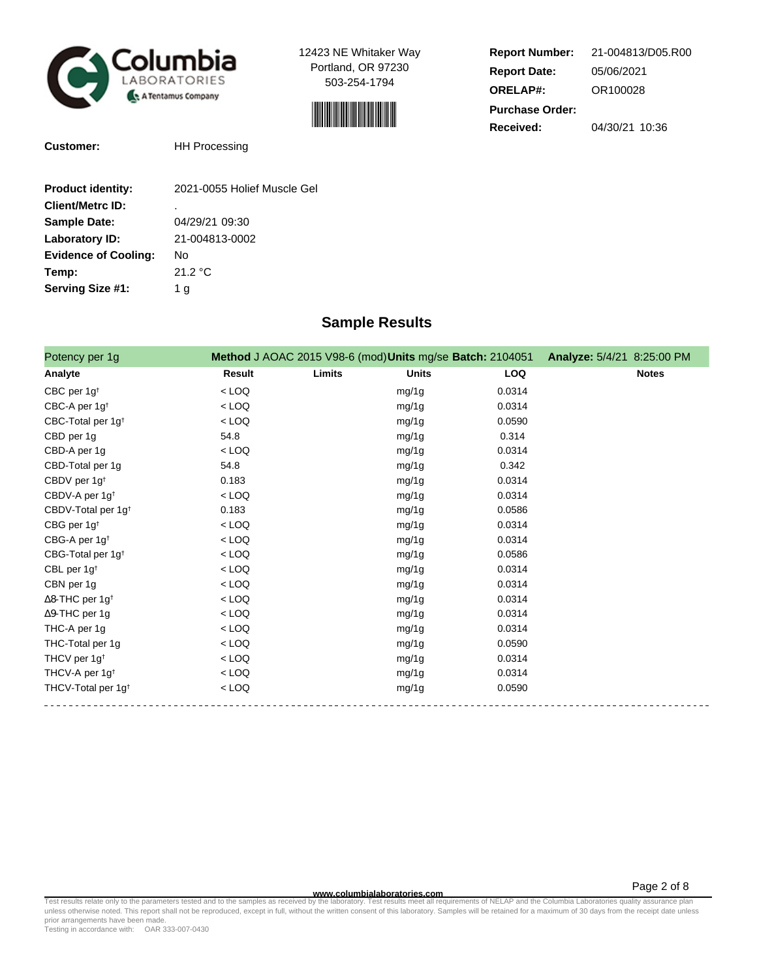

12423 NE Whitaker Way Portland, OR 97230 503-254-1794



| <b>Report Number:</b>  | 21-004813/D05.R00 |  |  |  |  |
|------------------------|-------------------|--|--|--|--|
| <b>Report Date:</b>    | 05/06/2021        |  |  |  |  |
| <b>ORELAP#:</b>        | OR100028          |  |  |  |  |
| <b>Purchase Order:</b> |                   |  |  |  |  |
| Received:              | 04/30/21 10:36    |  |  |  |  |

**Customer:** HH Processing

| <b>Product identity:</b>    | 2021-0055 Holief Muscle Gel |
|-----------------------------|-----------------------------|
| <b>Client/Metrc ID:</b>     | ٠                           |
| <b>Sample Date:</b>         | 04/29/21 09:30              |
| <b>Laboratory ID:</b>       | 21-004813-0002              |
| <b>Evidence of Cooling:</b> | No                          |
| Temp:                       | 21.2 °C                     |
| Serving Size #1:            | 1 a                         |

## **Sample Results**

| Potency per 1g                     |         |        | Method J AOAC 2015 V98-6 (mod) Units mg/se Batch: 2104051 |            | Analyze: 5/4/21 8:25:00 PM |
|------------------------------------|---------|--------|-----------------------------------------------------------|------------|----------------------------|
| Analyte                            | Result  | Limits | <b>Units</b>                                              | <b>LOQ</b> | <b>Notes</b>               |
| CBC per $1g†$                      | $<$ LOQ |        | mg/1g                                                     | 0.0314     |                            |
| CBC-A per 1g <sup>t</sup>          | $<$ LOQ |        | mg/1g                                                     | 0.0314     |                            |
| CBC-Total per 1g <sup>t</sup>      | $<$ LOQ |        | mg/1g                                                     | 0.0590     |                            |
| CBD per 1g                         | 54.8    |        | mg/1g                                                     | 0.314      |                            |
| CBD-A per 1g                       | $<$ LOQ |        | mg/1g                                                     | 0.0314     |                            |
| CBD-Total per 1g                   | 54.8    |        | mg/1g                                                     | 0.342      |                            |
| CBDV per 1g <sup>t</sup>           | 0.183   |        | mg/1g                                                     | 0.0314     |                            |
| CBDV-A per 1g <sup>t</sup>         | $<$ LOQ |        | mg/1g                                                     | 0.0314     |                            |
| CBDV-Total per 1g <sup>t</sup>     | 0.183   |        | mg/1g                                                     | 0.0586     |                            |
| CBG per 1g <sup>t</sup>            | $<$ LOQ |        | mg/1g                                                     | 0.0314     |                            |
| CBG-A per 1g <sup>t</sup>          | $<$ LOQ |        | mg/1g                                                     | 0.0314     |                            |
| CBG-Total per 1g <sup>t</sup>      | $<$ LOQ |        | mg/1g                                                     | 0.0586     |                            |
| CBL per $1g†$                      | $<$ LOQ |        | mg/1g                                                     | 0.0314     |                            |
| CBN per 1g                         | $<$ LOQ |        | mg/1g                                                     | 0.0314     |                            |
| $\Delta$ 8-THC per 1g <sup>+</sup> | $<$ LOQ |        | mg/1g                                                     | 0.0314     |                            |
| $\Delta$ 9-THC per 1g              | $<$ LOQ |        | mg/1g                                                     | 0.0314     |                            |
| THC-A per 1g                       | $<$ LOQ |        | mg/1g                                                     | 0.0314     |                            |
| THC-Total per 1g                   | $<$ LOQ |        | mg/1g                                                     | 0.0590     |                            |
| THCV per 1g <sup>t</sup>           | $<$ LOQ |        | mg/1g                                                     | 0.0314     |                            |
| THCV-A per 1g <sup>t</sup>         | $<$ LOQ |        | mg/1g                                                     | 0.0314     |                            |
| THCV-Total per 1g <sup>t</sup>     | $<$ LOQ |        | mg/1g                                                     | 0.0590     |                            |

**WWW.columbialaboratories.com**<br>unless otherwise noted. This report shall not be reproduced, except in full, without the written consent of this laboratory. Samples will be retained for a maximum of 30 days from the receipt